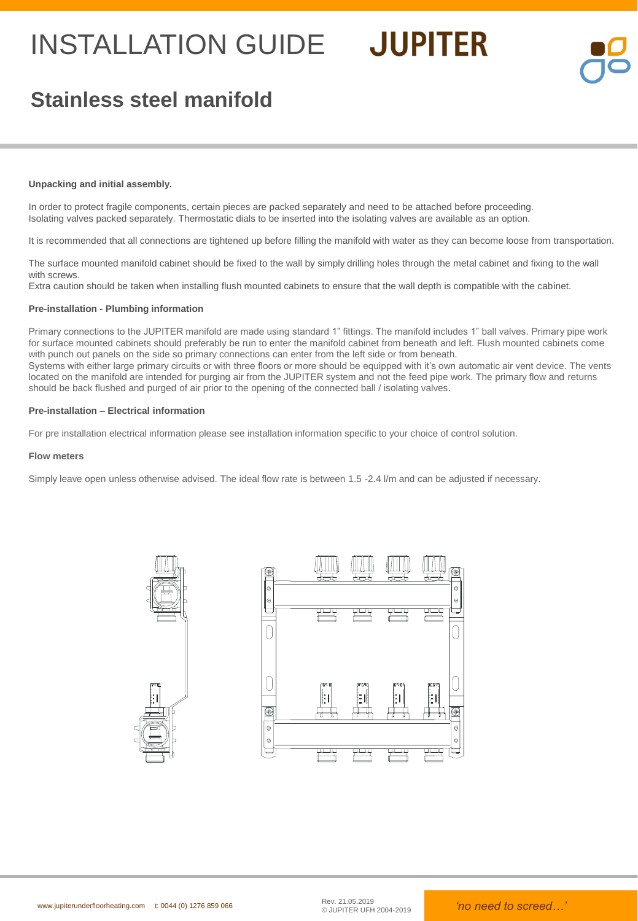## INSTALLATION GUIDE JUPITER



## **Stainless steel manifold**

### **Unpacking and initial assembly.**

In order to protect fragile components, certain pieces are packed separately and need to be attached before proceeding. Isolating valves packed separately. Thermostatic dials to be inserted into the isolating valves are available as an option.

It is recommended that all connections are tightened up before filling the manifold with water as they can become loose from transportation.

The surface mounted manifold cabinet should be fixed to the wall by simply drilling holes through the metal cabinet and fixing to the wall with screws.

Extra caution should be taken when installing flush mounted cabinets to ensure that the wall depth is compatible with the cabinet.

### **Pre-installation - Plumbing information**

Primary connections to the JUPITER manifold are made using standard 1" fittings. The manifold includes 1" ball valves. Primary pipe work for surface mounted cabinets should preferably be run to enter the manifold cabinet from beneath and left. Flush mounted cabinets come with punch out panels on the side so primary connections can enter from the left side or from beneath.

Systems with either large primary circuits or with three floors or more should be equipped with it's own automatic air vent device. The vents located on the manifold are intended for purging air from the JUPITER system and not the feed pipe work. The primary flow and returns should be back flushed and purged of air prior to the opening of the connected ball / isolating valves.

### **Pre-installation – Electrical information**

For pre installation electrical information please see installation information specific to your choice of control solution.

### **Flow meters**

Simply leave open unless otherwise advised. The ideal flow rate is between 1.5 -2.4 l/m and can be adjusted if necessary.



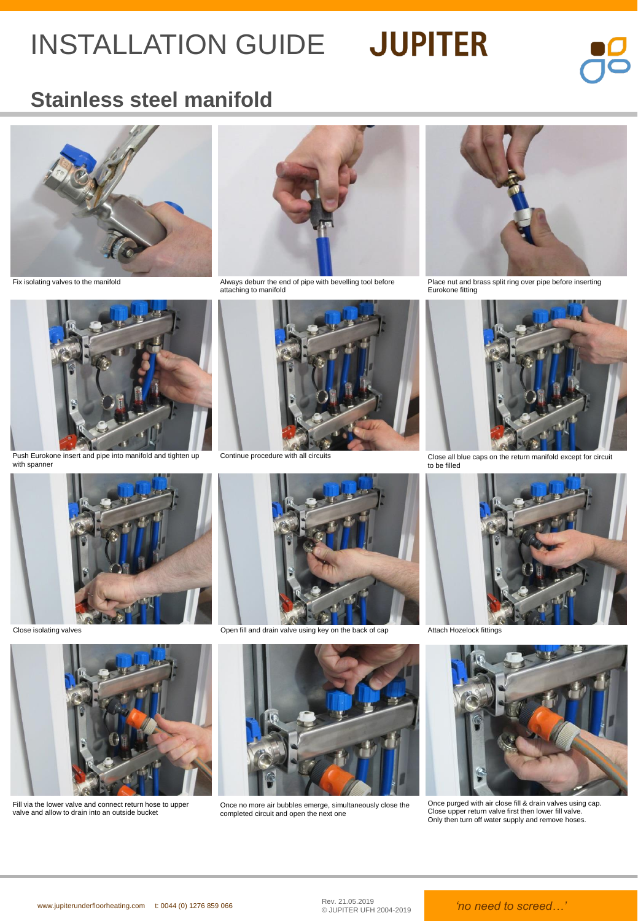# INSTALLATION GUIDE JUPITER



## **Stainless steel manifold**





Push Eurokone insert and pipe into manifold and tighten up with spanner



attaching to manifold



Continue procedure with all circuits



Fix isolating valves to the manifold example of the Multimation of pipe with bevelling tool before intertional brass split ring over pipe before inserting over pipe before inserting Eurokone fitting



Close all blue caps on the return manifold except for circuit to be filled





Fill via the lower valve and connect return hose to upper valve and allow to drain into an outside bucket



Close isolating valves **Close isolating valves** Open fill and drain valve using key on the back of cap Attach Hozelock fittings



Once no more air bubbles emerge, simultaneously close the completed circuit and open the next one





Once purged with air close fill & drain valves using cap. Close upper return valve first then lower fill valve. Only then turn off water supply and remove hoses.

Rev. 21.05.2019<br>© JUPITER UFH 2004-2019